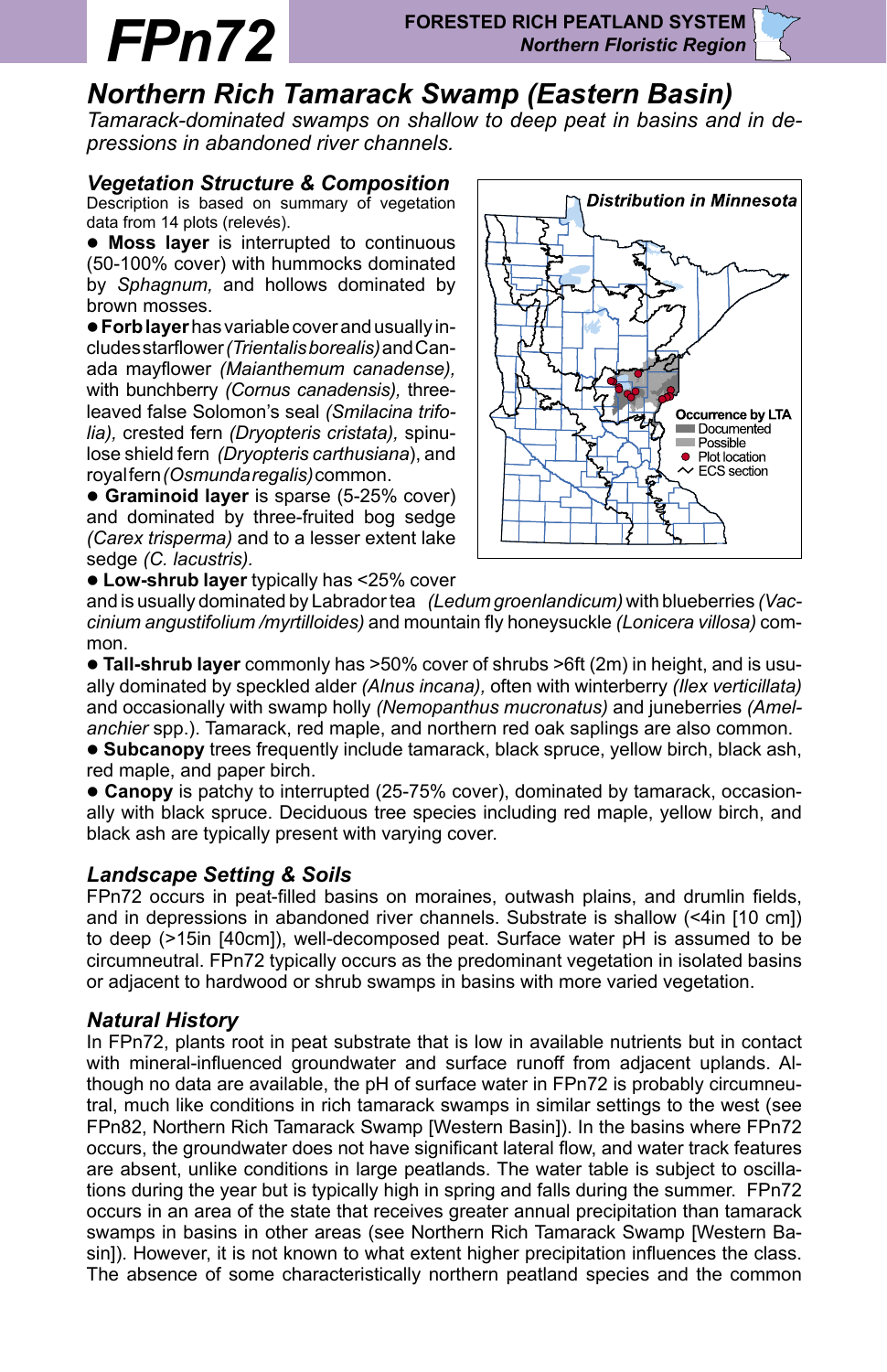# *Northern Rich Tamarack Swamp (Eastern Basin)*

*Tamarack-dominated swamps on shallow to deep peat in basins and in depressions in abandoned river channels.*

### *Vegetation Structure & Composition*

Description is based on summary of vegetation data from 14 plots (relevés).

**• Moss layer** is interrupted to continuous (50-100% cover) with hummocks dominated by *Sphagnum,* and hollows dominated by brown mosses.

l **Forb layer** has variable cover and usually includes starflower *(Trientalis borealis)* and Canada mayflower *(Maianthemum canadense),* with bunchberry *(Cornus canadensis),* threeleaved false Solomon's seal *(Smilacina trifolia),* crested fern *(Dryopteris cristata),* spinulose shield fern *(Dryopteris carthusiana*), and royal fern *(Osmunda regalis)* common.

**• Graminoid layer** is sparse (5-25% cover) and dominated by three-fruited bog sedge *(Carex trisperma)* and to a lesser extent lake sedge *(C. lacustris).*

**.** Low-shrub layer typically has <25% cover



and is usually dominated by Labrador tea *(Ledum groenlandicum)* with blueberries *(Vaccinium angustifolium /myrtilloides)* and mountain fly honeysuckle *(Lonicera villosa)* common.

l **Tall-shrub layer** commonly has >50% cover of shrubs >6ft (2m) in height, and is usually dominated by speckled alder *(Alnus incana),* often with winterberry *(Ilex verticillata)*  and occasionally with swamp holly *(Nemopanthus mucronatus)* and juneberries *(Amelanchier* spp.). Tamarack, red maple, and northern red oak saplings are also common.

**Subcanopy** trees frequently include tamarack, black spruce, yellow birch, black ash, red maple, and paper birch.

l **Canopy** is patchy to interrupted (25-75% cover), dominated by tamarack, occasionally with black spruce. Deciduous tree species including red maple, yellow birch, and black ash are typically present with varying cover.

#### *Landscape Setting & Soils*

FPn72 occurs in peat-filled basins on moraines, outwash plains, and drumlin fields, and in depressions in abandoned river channels. Substrate is shallow (<4in [10 cm]) to deep (>15in [40cm]), well-decomposed peat. Surface water pH is assumed to be circumneutral. FPn72 typically occurs as the predominant vegetation in isolated basins or adjacent to hardwood or shrub swamps in basins with more varied vegetation.

#### *Natural History*

tral, much like conditions in rich tamarack swamps in similar settings to the west (see In FPn72, plants root in peat substrate that is low in available nutrients but in contact with mineral-influenced groundwater and surface runoff from adjacent uplands. Although no data are available, the pH of surface water in FPn72 is probably circumneu-FPn82, Northern Rich Tamarack Swamp [Western Basin]). In the basins where FPn72 occurs, the groundwater does not have significant lateral flow, and water track features are absent, unlike conditions in large peatlands. The water table is subject to oscillations during the year but is typically high in spring and falls during the summer. FPn72 occurs in an area of the state that receives greater annual precipitation than tamarack swamps in basins in other areas (see Northern Rich Tamarack Swamp [Western Basin]). However, it is not known to what extent higher precipitation influences the class. The absence of some characteristically northern peatland species and the common